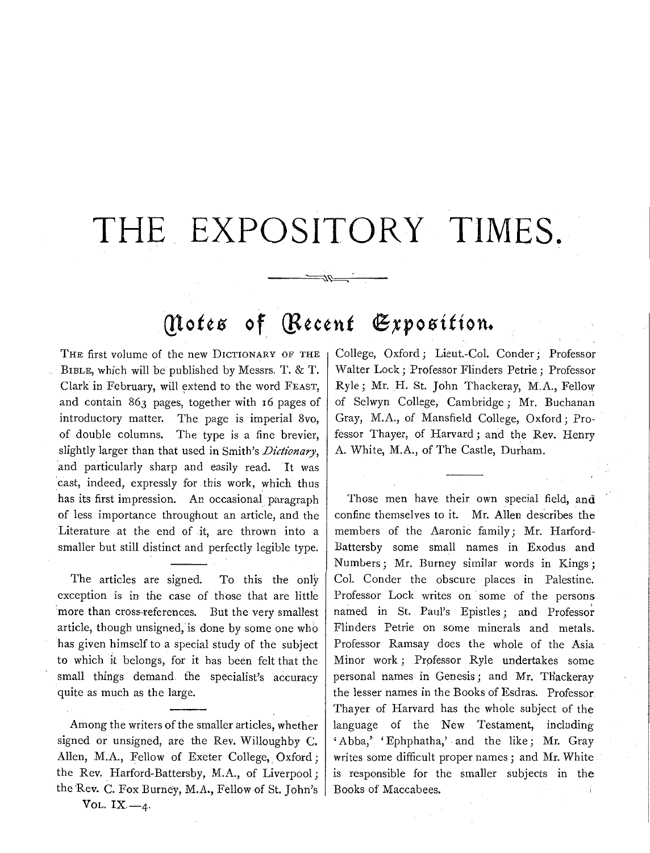## **THE EXPOSITORY TIMES.**

## *(Notes of (Recent Exposition.*

------~~------

THE first volume of the new DICTIONARY OF THE BIBLE, which will be published by Messrs. T. & T. Clark in February, will extend to the word FEAST, and contain 863 pages, together with 16 pages of introductory matter. The page is imperial 8vo, of double columns. The type is a fine brevier, slightly larger than that used in Smith's *Dictionary*, 'and particularly sharp and easily read. It was 'cast, indeed, expressly for this work, which thus has its first impression. An occasional paragraph of less importance throughout an article, and the Literature at the end of it, are thrown into a smaller but still distinct and perfectly legible type.

The articles are signed. To this the only exception is in the case of those that are little :more than cross-references. But the very smallest article, though unsigned, is done by some one who has given himself to a special study of the subject to which it belongs, for it has been felt that the small things demand the specialist's accuracy quite as much as the large.

Among the writers of the smaller articles, whether signed or unsigned, are the Rev. Willoughby C. Alien, M.A., Fellow of Exeter College, Oxford; the Rev. Harford-Battersby, M.A., of Liverpool; the Rev. C. Fox Burney, M.A., Fellow of St. John's College, Oxford; Lieut.-Col. Conder; Professor Walter Lock ; Professor Flinders Petrie ; Professor Ryle; Mr. H. St. John Thackeray, M.A., Fellow of Selwyn College, Cambridge; Mr. Buchanan Gray, M.A., of Mansfield College, Oxford; Professor Thayer, of Harvard; and the Rev. Henry A. White, M. A., of The Castle, Durham.

Those men have their own special field, and confine themselves to it. Mr. Allen describes the members of the Aaronic family; Mr. Harford-Battersby some small names in Exodus and Numbers; Mr. Burney similar words in Kings; Col. Conder the obscure places in Palestine. Professor Lock writes on some of the persons named in St. Paul's Epistles; and Professor Flinders Petrie on some minerals and metals. Professor Ramsay does the whole of the Asia Minor work; Professor Ryle undertakes some personal names in Genesis; and Mr. THackeray the lesser names in the Books of Esdras. Professor Thayer of Harvard has the whole subject of the language of the New Testament, including 'Abba,' 'Ephphatha,' and the like; Mr. Gray writes some difficult proper names; and Mr. White is responsible for the smaller subjects in the Books of Maccabees. J.

VOL.  $IX -4$ .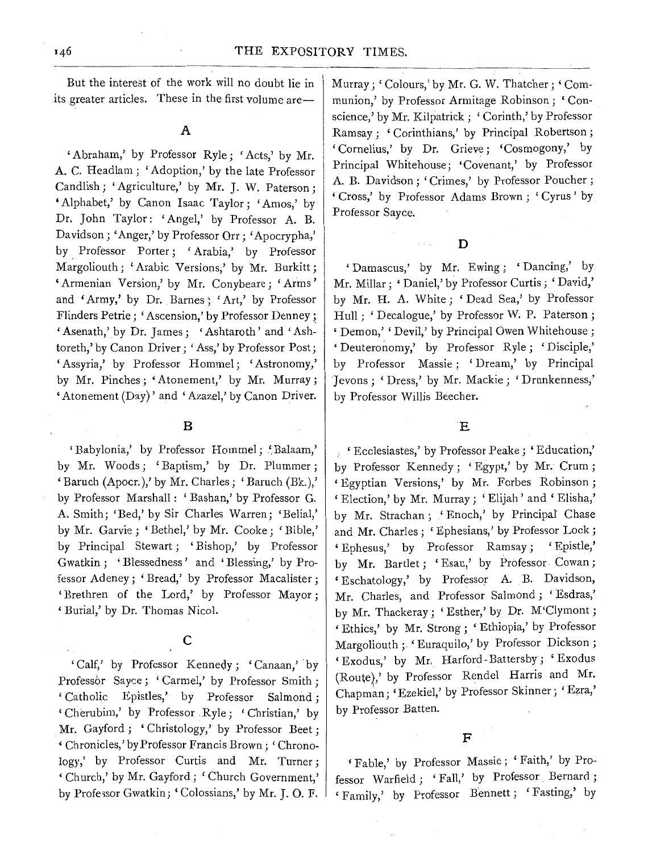But the interest of the work will no doubt lie in its greater articles. These in the first volume are—

'Abraham,' by Professor Ryle; 'Acts,' by Mr. A. C. Headlam; 'Adoption,' by the late Professor Candlish; 'Agriculture,' by Mr. J. W. Paterson; 'Alphabet,' by Canon Isaac Taylor; 'Amos,' by Dr. John Taylor: 'Angel,' by Professor A. B. Davidson; 'Anger,' by Professor Orr; 'Apocrypha,' by Professor Porter; 'Arabia,' by Professor Margoliouth; 'Arabic Versions,' by Mr. Burkitt; 'Armenian Version,' by Mr. Conybeare; 'Arms' and 'Army,' by Dr. Barnes; 'Art,' by Professor Flinders Petrie; 'Ascension,' by Professor Denney; 'Asenath,' by Dr. James; 'Ashtaroth' and 'Ashtoreth,' by Canon Driver; 'Ass,' by Professor Post; 'Assyria,' by Professor Hommel; 'Astronomy,' by Mr. Pinches; 'Atonement,' by Mr. Murray;  $'$ Atonement (Day)' and 'Azazel,' by Canon Driver.

B

'Babylonia,' by Professor Hommel; 'Balaam,' by Mr. Woods; 'Baptism,' by Dr. Plummer; 'Baruch (Apocr.),' by Mr. Charles; 'Baruch (Bk.),' by Professor Marshal!: 'Bashan,' by Professor G. A. Smith; 'Bed,' by Sir Charles Warren; 'Belial,' by Mr. Garvie; 'Bethel,' by Mr. Cooke; 'Bible,' by Principal Stewart; 'Bishop,' by Professor Gwatkin ; 'Blessedness' and 'Blessing,' by Professor Adeney; 'Bread,' by Professor Macalister ; 'Brethren of the Lord,' by Professor Mayor; ' Burial,' by Dr. Thomas Nicol.

'Calf,' by Professor Kennedy; 'Canaan,' by Professor Sayce; 'Carmel,' by Professor Smith; ' Catholic Epistles,' by Professor Salmond ; 'Cherubim,' by Professor .Ryle; 'Christian,' by Mr. Gayford; 'Christology,' by Professor Beet; ' Chronicles,' by Professor Francis Brown; 'Chronology,' by Professor Curtis and Mr. Turner; 'Church,' by Mr. Gayford; 'Church Government,' by Professor Gwatkin; 'Colossians,' by Mr. J. O. F.

Murray; 'Colours,' by Mr. G. W. Thatcher; 'Communion,' by Professor Armitage Robinson ; ' Conscience,' by Mr. Kilpatrick; 'Corinth,' by Professor Ramsay; 'Corinthians,' by Principal Robertson; 'Cornelius,' by Dr. Grieve; 'Cosmogony,' by Principal Whitehouse; 'Covenant,' by Professor A. B. Davidson; 'Crimes,' by Professor Poucher; ' Cross,' by Professor Adams Brown ; ' Cyrus ' by Professor Sayce.

 $\mathbf D$ 

'Damascus,' by Mr. Ewing ; 'Dancing,' by Mr. Millar; ' Daniel,' by Professor Curtis; ' David,' by Mr. H. A. White ; ' Dead Sea,' by Professor Hull; ' Decalogue,' by Professor W. P. Paterson; 'Demon,' 'Devil,' by Principal Owen Whitehouse; 'Deuteronomy,' by Professor Ryle; 'Disciple,' by Professor Massie ; ' Dream,' by Principal Jevons; 'Dress,' by Mr. Mackie; 'Drunkenness,' by Professor Willis Beecher.

## E

'Ecclesiastes,' by Professor Peake; 'Education,' by Professor Kennedy; ' Egypt,' by Mr. Crum ; ' Egyptian Versions,' by Mr. Forbes Robinson ; 'Election,' by Mr. Murray; 'Elijah' and 'Elisha,' by Mr. Strachan; 'Enoch,' by Principal Chase and Mr. Charles; 'Ephesians,' by Professor Lock; 'Ephesus,' by Professor Ramsay; 'Epistle,' by Mr. Bartlet; 'Esau,' by Professor. Cowan; 'Eschatology,' by Professor A. B. Davidson, Mr. Charles, and Professor Salmond; 'Esdras,' by Mr. Thackeray; 'Esther,' by Dr. M'Clymont; 'Ethics,' by Mr. Strong; 'Ethiopia,' by Professor Margoliouth ; 'Euraquilo,' by Professor Dickson; 'Exodus,' by Mr. Harford-Battersby; 'Exodus (Route),' by Professor Rendel Harris and Mr. Chapman; 'Ezekiel,' by Professor Skinner; 'Ezra,' by Professor Batten.

'Fable,' by Professor Massie; 'Faith,' by Professor Warfield; ' Fall,' by Professor Bernard ; 'Family,' by Professor Bennett; 'Fasting,' by

c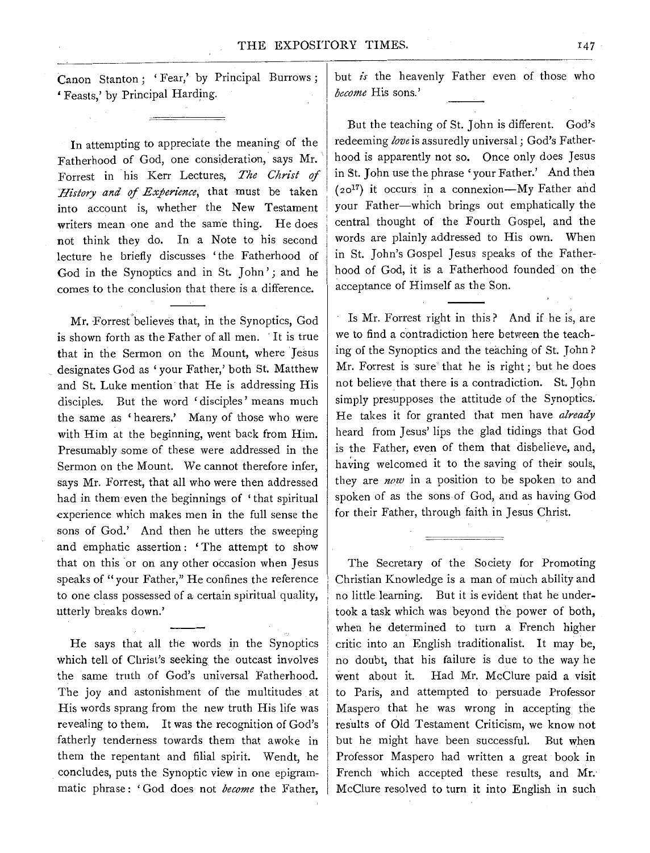Canon Stanton ; ' Fear,' by Principal Burrows ; 'Feasts,' by Principal Harding.

In attempting to appreciate the meaning of the Fatherhood of God, one consideration, says Mr. Forrest in his Kerr Lectures, *The Christ of History and of Experience,* that must be taken into account is, whether the New Testament writers mean one and the same thing. He does not think they do. In a Note to his second lecture he briefly discusses 'the Fatherhood of God in the Synoptics and in St. John'; and he comes to the conclusion that there is a difference.

Mr. Forrest believes that, in the Synoptics, God is shown forth as the Father of all men. It is true that in the Sermon on the Mount, where Jesus designates God as 'your Father,' both St. Matthew and St. Luke mention· that He is addressing His disciples. But the word 'disciples' means much the same as 'hearers.' Many of those who were with Him at the beginning, went back from Him. Presumably some of these were addressed in the Sermon on the Mount. We cannot therefore infer, says Mr. Forrest, that all who were then addressed had in them even the beginnings of 'that spiritual experience which makes men in the full sense the sons of God.' And then he utters the sweeping and emphatic assertion: 'The attempt to show that on this or on any other occasion when Jesus speaks of "your Father," He confines the reference to one class possessed of a certain spiritual quality, utterly breaks down.'

He says that all the words in the Synoptics which tell of Christ's seeking the outcast involves the same truth of God's universal Fatherhood. The joy and astonishment of the multitudes at His words sprang from the new truth His life was revealing to them. It was the recognition of God's fatherly tenderness towards them that awoke in them the repentant and filial spirit. Wendt, he concludes, puts the Synoptic view in one epigrammatic phrase : ' God does not *become* the Father, but *is* the heavenly Father even of those who *become* His sons.'

But the teaching of St. John is different. God's redeeming *love* is assuredly universal; God's Fatherhood is apparently not so. Once only does Jesus in St. John use the phrase ' your Father.' And then  $(20^{17})$  it occurs in a connexion-My Father and your Father-which brings out emphatically the central thought of the Fourth Gospel, and the words are plainly addressed to His own. When in St. John's Gospel Jesus speaks of the Fatherhood of God, it is a Fatherhood founded on the acceptance of Himself as the Son.

' Is Mr. Forrest right in this? And if he is, are we to find a contradiction here between the teaching of the Synoptics and the teaching of St. John? Mr. Forrest is sure· that he is right; but he does not believe that there is a contradiction. St. John simply presupposes the attitude of the Synoptics. He takes it for granted that men have *already*  heard from Jesus' lips the glad tidings that God is the Father, even of them that disbelieve, and, having welcomed it to the saving of their souls, they are *now* in a position to be spoken to and spoken of as the sons of God, and as having God for their Father, through faith in Jesus Christ.

The Secretary of the Society for Promoting Christian Knowledge is a man of much ability and no little learning. But it is evident that he undertook a task which was beyond the power of both, when he determined to turn a French higher critic into an English traditionalist. It may be, no doubt, that his failure is due to the way he went about it. Had Mr. McClure paid a visit to Paris, and attempted to persuade Professor Maspero that he was wrong in accepting the results of Old Testament Criticism, we know not but he might have been successful. But when Professor Maspero had written a great book in French which accepted these results, and Mr.· McClure resolved to turn it into English in such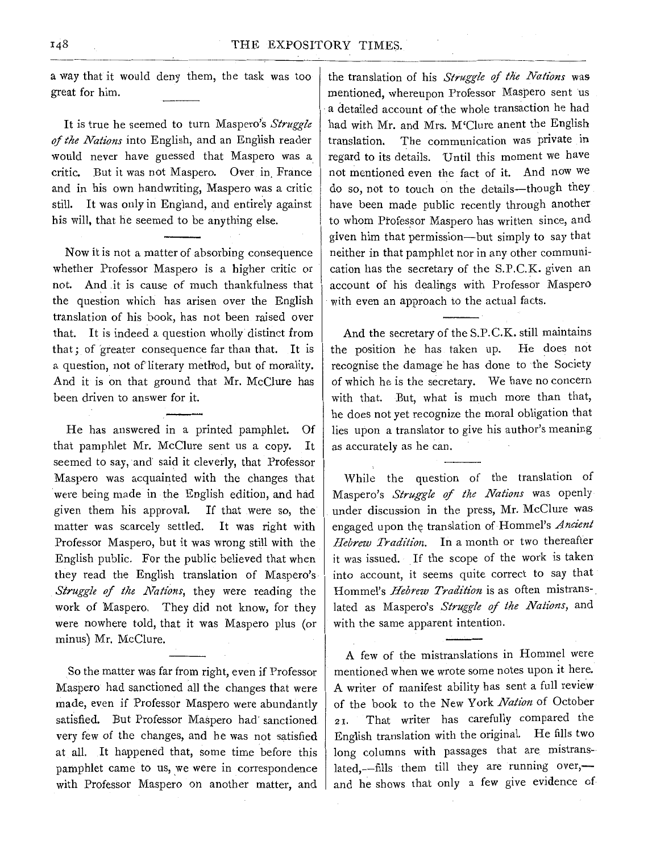a way that it would deny them, the task was too great for him.

It is true he seemed to turn Maspero's *Struggle of the Nations* into English, and an English reader would never have guessed that Maspero was a critic. But it was not Maspero. Over in France and in his own handwriting, Maspero was a critic still. It was only in England, and entirely against his will, that he seemed to be anything else.

Now it is not a matter of absorbing consequence whether Professor Maspero is a higher critic or not. And it is cause of much thankfulness that the question which has arisen over the English translation of his book, has not been raised over that. It is indeed a question wholly distinct from that; of 'greater consequence far than that. It is a question, not of literary method, but of morality. And it is on that ground that Mr. McClure has been driven to answer for it.

He has answered in a printed pamphlet. Of that pamphlet Mr. McClure sent us a copy. It seemed to say, and said it cleverly, that Professor Maspero was acquainted with the changes that were being made in the English edition, and had given them his approval. If that were so, the· matter was scarcely settled. It was right with Professor Maspero, but it was wrong still with the English public. For the public believed that when they read the English translation of Maspero's *Struggle of the Nations,* they were reading the work of Maspero. They did not know, for they were nowhere told, that it was Maspero plus (or minus) Mr. McClure.

So the matter was far from right, even if Professor Maspero had sanctioned all the changes that were made, even if Professor Maspero were abundantly satisfied. But Professor Maspero had' sanctioned very few of the changes, and he was not satisfied at all. It happened that, some time before this pamphlet came to us, we were in correspondence with Professor Maspero on another matter, and the translation of his *Struggle of the Nations* was mentioned, whereupon Professor Maspero sent us a detailed account of the whole transaction he had had with Mr. and Mrs. M'Clure anent the English translation. The communication was private in regard to its details. Until this moment we have not mentioned even the fact of it. And now we do so, not to touch on the details-though they have been made public recently through another to whom Professor Maspero has written since, and given him that permission-but simply to say that neither in that pamphlet nor in any other communication has the secretary of the S.P.C.K. given an account of his dealings with Professor Maspero with even an approach to the actual facts.

And the secretary of the S.P.C.K. still maintains the position he has taken up. He does not recognise the damage he has done to the Society of which he is the secretary. We have no concern with that. But, what is much more than that, he does not yet recognize the moral obligation that lies upon a translator to give his author's meaning as accurately as he can.

While the question of the translation of Maspero's *Struggle qf tlte Nations* was openly under discussion in the press, Mr. McClure was engaged upon the translation of Hommel's *Ancient Hebrew Tradition.* In a month or two thereafter it was issued. If the scope of the work is taken into account, it seems quite correct to say that Hommel's *Hebrew Tradition* is as often mistranslated as Maspero's *Struggle of the Nations,* and with the same apparent intention.

A few of the mistranslations in Hommel were mentioned when we wrote some notes upon it here. A writer of manifest ability has sent a full review of the book to the New York *Na#on* of October 21. That writer has carefully compared the English translation with the original. He fills two long columns with passages that are mistranslated,-fills them till they are running over,and he shows that only a few give evidence of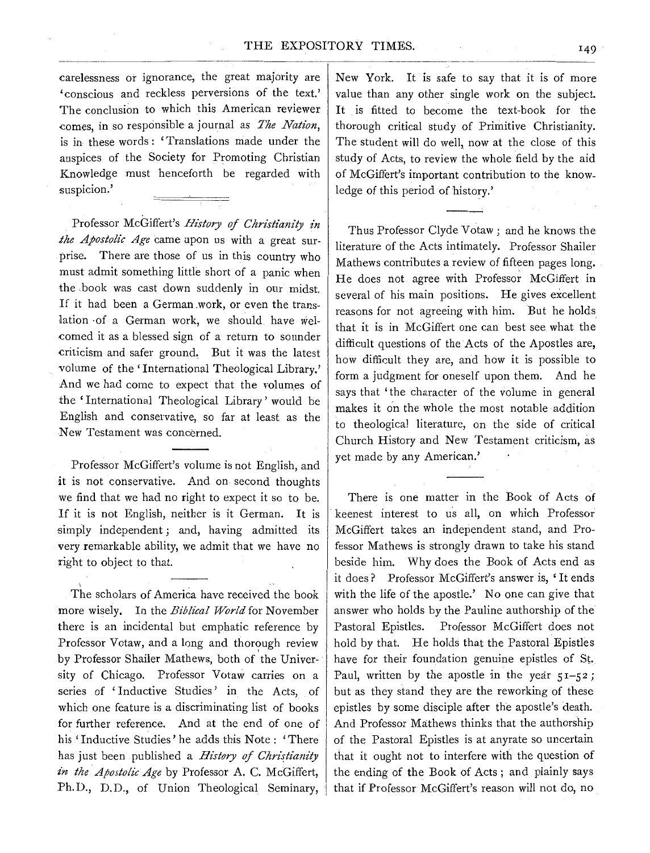carelessness or ignorance, the great majority are 'conscious and reckless perversions of the text.' The conclusion to which this American reviewer comes, in so responsible a journal as *The Nation*, is in these words : 'Translations made under the auspices of the Society for Promoting Christian Knowledge must henceforth be regarded with suspicion.'

Professor McGiffert's *History of Christianity in the Apostolic Age* came upon us with a great surprise. There are those of us in this country who must admit something little short of a panic when the .book was cast down suddenly in our midst. If it had been a German .work, or even the trans lation of a German work, we should have welcomed it as a blessed sign of a return to sounder criticism and safer ground, But it was the latest volume of the 'International Theological Library.' And we had come to expect that the volumes of the 'International Theological Library' would be English and conservative, so far at least as the New Testament was concerned.

Professor McGiffert's volume is not English, and it is not conservative. And on second thoughts we find that we had no right to expect it so to be. If it is not English, neither is it German. It is simply independent ; and, having admitted its very remarkable ability, we admit that we have no right to object to that.

The scholars of America have received the book more wisely. In the *Biblical World* for November there is an incidental but emphatic reference by Professor Votaw, and a long and thorough review by Professor Shailer Mathews, both of the University of Chicago. Professor Votaw carries on a series of ' Inductive Studies' in the Acts, of which one feature is a discriminating list of books for further reference. And at the end of one of his 'Inductive Studies' he adds this Note: 'There has just been published a *History of Christianity in the Apostolic Age* by Professor A. C. McGiffert, Ph.D., D.D., of Union Theological Seminary, New York. It is safe to say that it is of more value than any other single work on the subject. It is fitted to become the text-book for the thorough critical study of Primitive Christianity. The student will do well, now at the close of this study of Acts, to review the whole field by the aid of McGiffert's important contribution to the knowledge of this period of history.'

~-~---~----------

Thus Professor Clyde Votaw; and he knows the literature of the Acts intimately. Professor Shailer Mathews contributes a review of fifteen pages long. He does not agree with Professor McGiffert in several of his main positions. He gives excellent reasons for not agreeing with him. But he holds that it is in McGiffert one can best see what the difficult questions of the Acts of the Apostles are, how difficult they are, and how it is possible to form a judgment for oneself upon them. And he says that 'the character of the volume in general makes it on the whole the most notable addition to theological literature, on the side of critical Church History and New Testament criticism, as yet made by any American.'

There is one matter in the Book of Acts of keenest interest to us all, on which Professor McGiffert takes an independent stand, and Professor Mathews is strongly drawn to take his stand beside him. Why does the Book of Acts end as it does? Professor McGiffert's answer is, ' It ends with the life of the apostle.' No one can give that answer who holds by the Pauline authorship of the Pastoral Epistles. Professor McGiffert does not hold by that. He holds that the Pastoral Epistles have for their foundation genuine epistles of St. Paul, written by the apostle in the year  $51-52$ ; but as they stand they are the reworking of these epistles by some disciple after the apostle's death. And Professor Mathews thinks that the authorship of the Pastoral Epistles is at anyrate so uncertain that it ought not to interfere with the question of the ending of the Book of Acts ; and plainly says that if Professor McGiffert's reason will not do, no